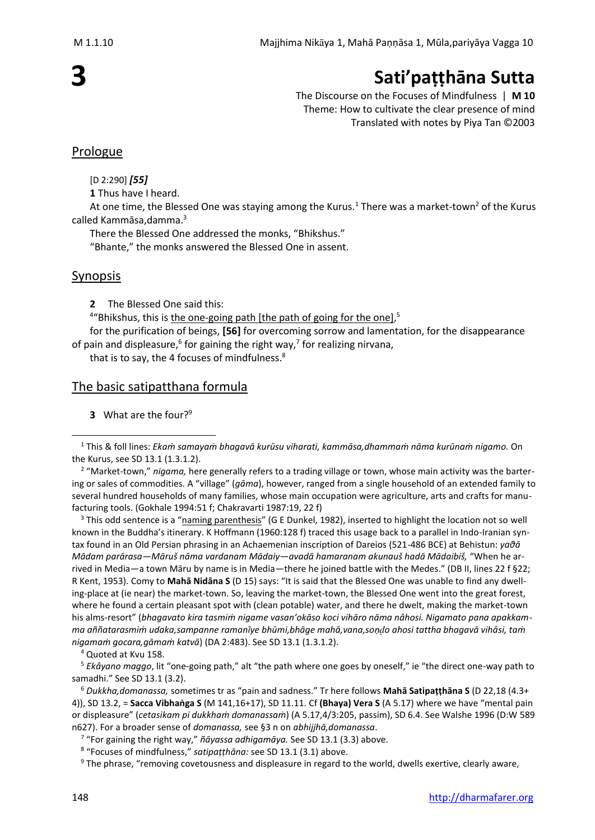# **3**

# **Sati'paṭṭhāna Sutta**

The Discourse on the Focuses of Mindfulness | **M 10** Theme: How to cultivate the clear presence of mind Translated with notes by Piya Tan ©2003

# Prologue

[D 2:290] *[55]*

**1** Thus have I heard.

At one time, the Blessed One was staying among the Kurus.<sup>1</sup> There was a market-town<sup>2</sup> of the Kurus called Kammāsa,damma. 3

There the Blessed One addressed the monks, "Bhikshus."

"Bhante," the monks answered the Blessed One in assent.

# Synopsis

**2** The Blessed One said this:

<sup>4</sup>"Bhikshus, this is the one-going path [the path of going for the one],<sup>5</sup>

for the purification of beings, **[56]** for overcoming sorrow and lamentation, for the disappearance of pain and displeasure,  $6$  for gaining the right way, $7$  for realizing nirvana,

that is to say, the 4 focuses of mindfulness.<sup>8</sup>

# The basic satipatthana formula

**3** What are the four?<sup>9</sup>

<sup>3</sup> This odd sentence is a "naming parenthesis" (G E Dunkel, 1982), inserted to highlight the location not so well known in the Buddha's itinerary. K Hoffmann (1960:128 f) traced this usage back to a parallel in Indo-Iranian syntax found in an Old Persian phrasing in an Achaemenian inscription of Dareios (521-486 BCE) at Behistun: *yaθā Mādam parārasa—Māruš nāma vardanam Mādaiy—avadā hamaranam akunauš hadā Mādaibiš,* "When he arrived in Media—a town Māru by name is in Media—there he joined battle with the Medes." (DB II, lines 22 f §22; R Kent, 1953). Comy to **Mahā Nidāna S** (D 15) says: "It is said that the Blessed One was unable to find any dwelling-place at (ie near) the market-town. So, leaving the market-town, the Blessed One went into the great forest, where he found a certain pleasant spot with (clean potable) water, and there he dwelt, making the market-town his alms-resort" (*bhagavato kira tasmiṁ nigame vasan'okāso koci vihāro nāma nâhosi. Nigamato pana apakkamma aññatarasmiṁ udaka,sampanne ramanīye bhūmi,bhāge mahā,vana,soṇo ahosi tattha bhagavā vihāsi, taṁ nigamaṁ gocara,gāmaṁ katvā*) (DA 2:483). See SD 13.1 (1.3.1.2).

<sup>4</sup> Quoted at Kvu 158.

<sup>5</sup> *Ekâyano maggo*, lit "one-going path," alt "the path where one goes by oneself," ie "the direct one-way path to samadhi." See SD 13.1 (3.2).

<sup>6</sup> *Dukkha,domanassa,* sometimes tr as "pain and sadness." Tr here follows **Mahā Satipaṭṭhāna S** (D 22,18 (4.3+ 4)), SD 13.2, = **Sacca Vibhaṅga S** (M 141,16+17), SD 11.11. Cf **(Bhaya) Vera S** (A 5.17) where we have "mental pain or displeasure" (*cetasikam pi dukkhaṁ domanassaṁ*) (A 5.17,4/3:205, passim), SD 6.4. See Walshe 1996 (D:W 589 n627). For a broader sense of *domanassa,* see §3 n on *abhijjhā,domanassa*.

7 "For gaining the right way," *ñāyassa adhigamāya.* See SD 13.1 (3.3) above.

8 "Focuses of mindfulness," *satipaṭṭhāna:* see SD 13.1 (3.1) above.

<sup>9</sup> The phrase, "removing covetousness and displeasure in regard to the world, dwells exertive, clearly aware,

<sup>1</sup> This & foll lines: *Ekaṁ samayaṁ bhagavā kurūsu viharati, kammāsa,dhammaṁ nāma kurūnaṁ nigamo.* On the Kurus, see SD 13.1 (1.3.1.2).

<sup>&</sup>lt;sup>2</sup> "Market-town," nigama, here generally refers to a trading village or town, whose main activity was the bartering or sales of commodities. A "village" (*gāma*), however, ranged from a single household of an extended family to several hundred households of many families, whose main occupation were agriculture, arts and crafts for manufacturing tools. (Gokhale 1994:51 f; Chakravarti 1987:19, 22 f)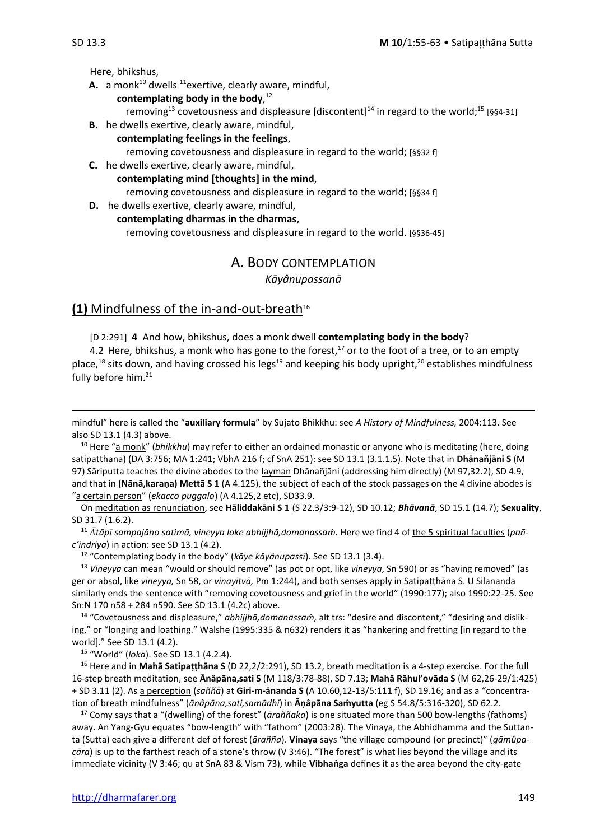Here, bhikshus,

- **A.** a monk<sup>10</sup> dwells <sup>11</sup> exertive, clearly aware, mindful,
	- **contemplating body in the body**, 12
		- removing<sup>13</sup> covetousness and displeasure [discontent]<sup>14</sup> in regard to the world;<sup>15</sup> [§§4-31]
- **B.** he dwells exertive, clearly aware, mindful,
- **contemplating feelings in the feelings**, removing covetousness and displeasure in regard to the world; [§§32 f]
- **C.** he dwells exertive, clearly aware, mindful, **contemplating mind [thoughts] in the mind**, removing covetousness and displeasure in regard to the world; [§§34 f]
- **D.** he dwells exertive, clearly aware, mindful, **contemplating dharmas in the dharmas**, removing covetousness and displeasure in regard to the world. [§§36-45]

# A. BODY CONTEMPLATION

#### *Kāyânupassanā*

#### **(1)** Mindfulness of the in-and-out-breath<sup>16</sup>

[D 2:291] **4** And how, bhikshus, does a monk dwell **contemplating body in the body**?

4.2 Here, bhikshus, a monk who has gone to the forest,<sup>17</sup> or to the foot of a tree, or to an empty place,<sup>18</sup> sits down, and having crossed his legs<sup>19</sup> and keeping his body upright,<sup>20</sup> establishes mindfulness fully before him.<sup>21</sup>

mindful" here is called the "**auxiliary formula**" by Sujato Bhikkhu: see *A History of Mindfulness,* 2004:113. See also SD 13.1 (4.3) above.

<sup>10</sup> Here "a monk" (bhikkhu) may refer to either an ordained monastic or anyone who is meditating (here, doing satipatthana) (DA 3:756; MA 1:241; VbhA 216 f; cf SnA 251): see SD 13.1 (3.1.1.5). Note that in **Dhānañjāni S** (M 97) Sāriputta teaches the divine abodes to the layman Dhānañjāni (addressing him directly) (M 97,32.2), SD 4.9, and that in **(Nānā,karaṇa) Mettā S 1** (A 4.125), the subject of each of the stock passages on the 4 divine abodes is "a certain person" (*ekacco puggalo*) (A 4.125,2 etc), SD33.9.

On meditation as renunciation, see **Hāliddakāni S 1** (S 22.3/3:9-12), SD 10.12; *Bhāvanā*, SD 15.1 (14.7); **Sexuality**, SD 31.7 (1.6.2).

<sup>11</sup> *tāp sampajāno satimā, vineyya loke abhijjhā,domanassaṁ.* Here we find 4 of the 5 spiritual faculties (*pañc'indriya*) in action: see SD 13.1 (4.2).

<sup>12</sup> "Contemplating body in the body" (*kāye kāyânupass*). See SD 13.1 (3.4).

<sup>13</sup> *Vineyya* can mean "would or should remove" (as pot or opt, like *vineyya*, Sn 590) or as "having removed" (as ger or absol, like *vineyya,* Sn 58, or *vinayitvā,* Pm 1:244), and both senses apply in Satipaṭṭhāna S. U Silananda similarly ends the sentence with "removing covetousness and grief in the world" (1990:177); also 1990:22-25. See Sn:N 170 n58 + 284 n590. See SD 13.1 (4.2c) above.

<sup>14</sup> "Covetousness and displeasure," *abhijjhā,domanassaṁ,* alt trs: "desire and discontent," "desiring and disliking," or "longing and loathing." Walshe (1995:335 & n632) renders it as "hankering and fretting [in regard to the world]." See SD 13.1 (4.2).

<sup>15</sup> "World" (*loka*). See SD 13.1 (4.2.4).

<sup>16</sup> Here and in **Mahā Satipaṭṭhāna S** (D 22,2/2:291), SD 13.2, breath meditation is a 4-step exercise. For the full 16-step breath meditation, see **Ānâpāna,sati S** (M 118/3:78-88), SD 7.13; **Mahā Rāhul'ovāda S** (M 62,26-29/1:425) + SD 3.11 (2). As a perception (*saññā*) at **Giri-m-ānanda S** (A 10.60,12-13/5:111 f), SD 19.16; and as a "concentration of breath mindfulness" (*ānâpāna,sati,samādhi*) in **Āṇâpāna Saṁyutta** (eg S 54.8/5:316-320), SD 62.2.

<sup>17</sup> Comy says that a "(dwelling) of the forest" (*āraññaka*) is one situated more than 500 bow-lengths (fathoms) away. An Yang-Gyu equates "bow-length" with "fathom" (2003:28). The Vinaya, the Abhidhamma and the Suttanta (Sutta) each give a different def of forest (*ārañña*). **Vinaya** says "the village compound (or precinct)" (*gāmûpacāra*) is up to the farthest reach of a stone's throw (V 3:46). "The forest" is what lies beyond the village and its immediate vicinity (V 3:46; qu at SnA 83 & Vism 73), while **Vibhaṅga** defines it as the area beyond the city-gate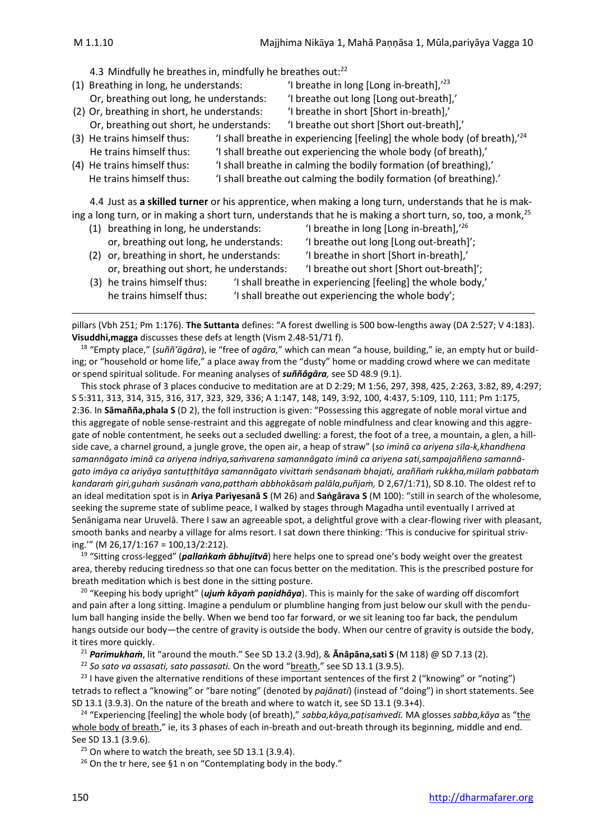4.3 Mindfully he breathes in, mindfully he breathes out:<sup>22</sup>

- (1) Breathing in long, he understands:  $\frac{1}{2}$  'I breathe in long [Long in-breath],<sup>'23</sup> Or, breathing out long, he understands: 'I breathe out long [Long out-breath],' (2) Or, breathing in short, he understands: 'I breathe in short [Short in-breath],' Or, breathing out short, he understands: 'I breathe out short [Short out-breath],' (3) He trains himself thus: 'I shall breathe in experiencing [feeling] the whole body (of breath), $^{24}$ He trains himself thus: 'I shall breathe out experiencing the whole body (of breath),' (4) He trains himself thus: 'I shall breathe in calming the bodily formation (of breathing),' He trains himself thus: 'I shall breathe out calming the bodily formation (of breathing).' 4.4 Just as **a skilled turner** or his apprentice, when making a long turn, understands that he is making a long turn, or in making a short turn, understands that he is making a short turn, so, too, a monk,<sup>25</sup>
	- (1) breathing in long, he understands: 'I breathe in long [Long in-breath],'26 or, breathing out long, he understands: 'I breathe out long [Long out-breath]'; (2) or, breathing in short, he understands: 'I breathe in short [Short in-breath],' or, breathing out short, he understands: 'I breathe out short [Short out-breath]'; (3) he trains himself thus: 'I shall breathe in experiencing [feeling] the whole body,' he trains himself thus: 'I shall breathe out experiencing the whole body';

pillars (Vbh 251; Pm 1:176). **The Suttanta** defines: "A forest dwelling is 500 bow-lengths away (DA 2:527; V 4:183). **Visuddhi,magga** discusses these defs at length (Vism 2.48-51/71 f).

<sup>18</sup> "Empty place," (*suññ'āgāra*), ie "free of *agāra,*" which can mean "a house, building," ie, an empty hut or building; or "household or home life," a place away from the "dusty" home or madding crowd where we can meditate or spend spiritual solitude. For meaning analyses of *suññâgāra,* see SD 48.9 (9.1).

This stock phrase of 3 places conducive to meditation are at D 2:29; M 1:56, 297, 398, 425, 2:263, 3:82, 89, 4:297; S 5:311, 313, 314, 315, 316, 317, 323, 329, 336; A 1:147, 148, 149, 3:92, 100, 4:437, 5:109, 110, 111; Pm 1:175, 2:36. In **Sāmañña,phala S** (D 2), the foll instruction is given: "Possessing this aggregate of noble moral virtue and this aggregate of noble sense-restraint and this aggregate of noble mindfulness and clear knowing and this aggregate of noble contentment, he seeks out a secluded dwelling: a forest, the foot of a tree, a mountain, a glen, a hillside cave, a charnel ground, a jungle grove, the open air, a heap of straw" (*so iminā ca ariyena sla-k,khandhena samannāgato iminā ca ariyena indriya,saṁvarena samannāgato iminā ca ariyena sati,sampajaññena samannāgato imāya ca ariyāya santuṭṭhitāya samannāgato vivittaṁ senâsanaṁ bhajati, araññaṁ rukkha,mlaṁ pabbataṁ kandaraṁ giri,guhaṁ susānaṁ vana,patthaṁ abbhokāsaṁ palāla,puñjaṁ,* D 2,67/1:71), SD 8.10. The oldest ref to an ideal meditation spot is in **Ariya Pariyesanā S** (M 26) and **Saṅgārava S** (M 100): "still in search of the wholesome, seeking the supreme state of sublime peace, I walked by stages through Magadha until eventually I arrived at Senānigama near Uruvelā. There I saw an agreeable spot, a delightful grove with a clear-flowing river with pleasant, smooth banks and nearby a village for alms resort. I sat down there thinking: 'This is conducive for spiritual striving.'" (M 26,17/1:167 = 100,13/2:212).

<sup>19</sup> "Sitting cross-legged" (*pallaṅkaṁ ābhujitvā*) here helps one to spread one's body weight over the greatest area, thereby reducing tiredness so that one can focus better on the meditation. This is the prescribed posture for breath meditation which is best done in the sitting posture.

<sup>20</sup> "Keeping his body upright" (*ujuṁ kāyaṁ paṇidhāya*). This is mainly for the sake of warding off discomfort and pain after a long sitting. Imagine a pendulum or plumbline hanging from just below our skull with the pendulum ball hanging inside the belly. When we bend too far forward, or we sit leaning too far back, the pendulum hangs outside our body—the centre of gravity is outside the body. When our centre of gravity is outside the body, it tires more quickly.

<sup>21</sup> *Parimukhaṁ*, lit "around the mouth." See SD 13.2 (3.9d), & **Ānâpāna,sati S** (M 118) @ SD 7.13 (2).

<sup>22</sup> *So sato va assasati, sato passasati.* On the word "breath," see SD 13.1 (3.9.5).

<sup>23</sup> I have given the alternative renditions of these important sentences of the first 2 ("knowing" or "noting") tetrads to reflect a "knowing" or "bare noting" (denoted by *pajānati*) (instead of "doing") in short statements. See SD 13.1 (3.9.3). On the nature of the breath and where to watch it, see SD 13.1 (9.3+4).

<sup>24</sup> "Experiencing [feeling] the whole body (of breath)," *sabba,kāya,paṭisaṁved.* MA glosses *sabba,kāya* as "the whole body of breath," ie, its 3 phases of each in-breath and out-breath through its beginning, middle and end. See SD 13.1 (3.9.6).

 $25$  On where to watch the breath, see SD 13.1 (3.9.4).

 $26$  On the tr here, see §1 n on "Contemplating body in the body."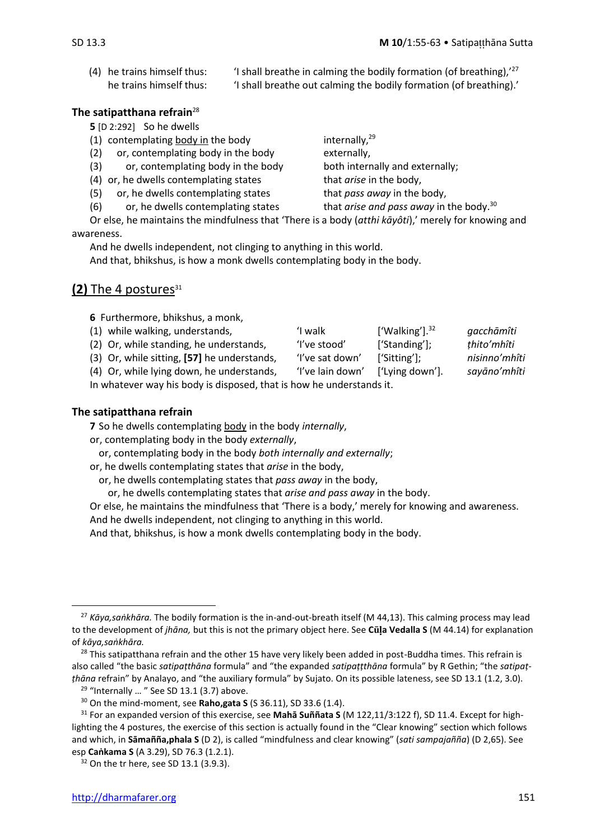(4) he trains himself thus: 'I shall breathe in calming the bodily formation (of breathing), $127$ he trains himself thus: 'I shall breathe out calming the bodily formation (of breathing).'

#### **The satipatthana refrain**<sup>28</sup>

**5** [D 2:292] So he dwells

- (1) contemplating body in the body in the  $10^{29}$
- (2) or, contemplating body in the body externally,
- (3) or, contemplating body in the body both internally and externally;
- (4) or, he dwells contemplating states that *arise* in the body,
- (5) or, he dwells contemplating states that *pass away* in the body,

(6) or, he dwells contemplating states that *arise and pass away* in the body.<sup>30</sup>

Or else, he maintains the mindfulness that 'There is a body (*atthi kāyôti*),' merely for knowing and awareness.

And he dwells independent, not clinging to anything in this world.

And that, bhikshus, is how a monk dwells contemplating body in the body.

# **(2)** The 4 postures<sup>31</sup>

**6** Furthermore, bhikshus, a monk,

- (1) while walking, understands, 'I walk ['Walking'].<sup>32</sup> *gacchāmîti*
- (2) Or, while standing, he understands, 'I've stood' ['Standing']; *ṭhito'mhîti*

(3) Or, while sitting, **[57]** he understands, 'I've sat down' ['Sitting']; *nisinno'mhîti*

(4) Or, while lying down, he understands, 'I've lain down' ['Lying down']. *sayāno'mhîti*

In whatever way his body is disposed, that is how he understands it.

#### **The satipatthana refrain**

**7** So he dwells contemplating body in the body *internally*,

or, contemplating body in the body *externally*,

or, contemplating body in the body *both internally and externally*;

or, he dwells contemplating states that *arise* in the body,

or, he dwells contemplating states that *pass away* in the body,

or, he dwells contemplating states that *arise and pass away* in the body.

Or else, he maintains the mindfulness that 'There is a body,' merely for knowing and awareness.

And he dwells independent, not clinging to anything in this world.

And that, bhikshus, is how a monk dwells contemplating body in the body.

<sup>27</sup> *Kāya,saṅkhāra.* The bodily formation is the in-and-out-breath itself (M 44,13). This calming process may lead to the development of *jhāna*, but this is not the primary object here. See Cula Vedalla S (M 44.14) for explanation of *kāya,saṅkhāra.*

<sup>&</sup>lt;sup>28</sup> This satipatthana refrain and the other 15 have very likely been added in post-Buddha times. This refrain is also called "the basic *satipaṭthāna* formula" and "the expanded *satipaṭṭthāna* formula" by R Gethin; "the *satipaṭṭhāna* refrain" by Analayo, and "the auxiliary formula" by Sujato. On its possible lateness, see SD 13.1 (1.2, 3.0).

 $29$  "Internally ... " See SD 13.1 (3.7) above.

<sup>30</sup> On the mind-moment, see **Raho,gata S** (S 36.11), SD 33.6 (1.4).

<sup>31</sup> For an expanded version of this exercise, see **Mahā Suññata S** (M 122,11/3:122 f), SD 11.4. Except for highlighting the 4 postures, the exercise of this section is actually found in the "Clear knowing" section which follows and which, in **Sāmañña,phala S** (D 2), is called "mindfulness and clear knowing" (*sati sampajañña*) (D 2,65). See esp **Caṅkama S** (A 3.29), SD 76.3 (1.2.1).

<sup>&</sup>lt;sup>32</sup> On the tr here, see SD 13.1 (3.9.3).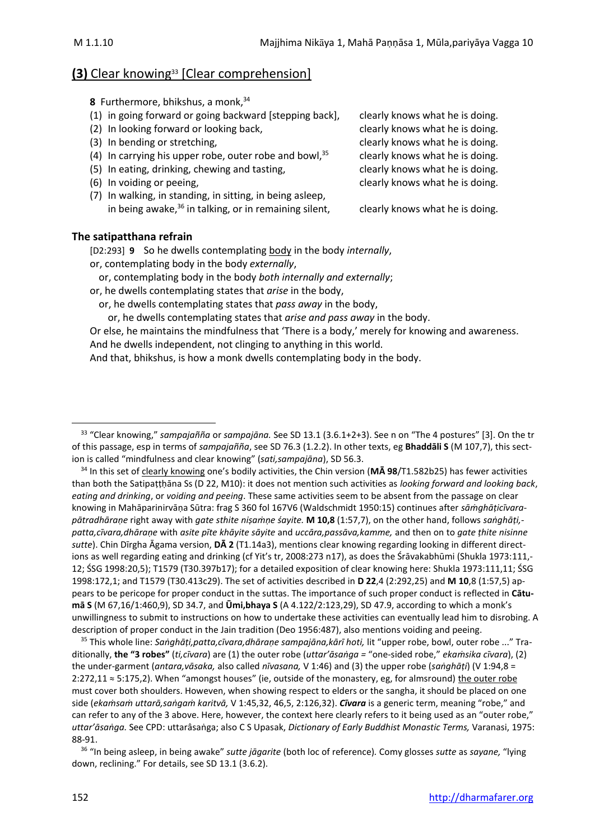# **(3)** Clear knowing<sup>33</sup> [Clear comprehension]

**8** Furthermore, bhikshus, a monk, 34

- (1) in going forward or going backward [stepping back], clearly knows what he is doing.
- (2) In looking forward or looking back, clearly knows what he is doing.
- 
- (4) In carrying his upper robe, outer robe and bowl,  $35$  clearly knows what he is doing.
- (5) In eating, drinking, chewing and tasting, example in the clearly knows what he is doing.
- 
- (7) In walking, in standing, in sitting, in being asleep, in being awake, $36$  in talking, or in remaining silent, clearly knows what he is doing.

(3) In bending or stretching, the same of the clearly knows what he is doing. (6) In voiding or peeing, clearly knows what he is doing.

#### **The satipatthana refrain**

[D2:293] **9** So he dwells contemplating body in the body *internally*, or, contemplating body in the body *externally*,

or, contemplating body in the body *both internally and externally*;

or, he dwells contemplating states that *arise* in the body,

or, he dwells contemplating states that *pass away* in the body,

or, he dwells contemplating states that *arise and pass away* in the body.

Or else, he maintains the mindfulness that 'There is a body,' merely for knowing and awareness. And he dwells independent, not clinging to anything in this world.

And that, bhikshus, is how a monk dwells contemplating body in the body.

<sup>34</sup> In this set of clearly knowing one's bodily activities, the Chin version (**MĀ 98**/T1.582b25) has fewer activities than both the Satipaṭṭḥāna Ss (D 22, M10): it does not mention such activities as *looking forward and looking back*, *eating and drinking*, or *voiding and peeing*. These same activities seem to be absent from the passage on clear knowing in Mahāparinirvāṇa Sūtra: frag S 360 fol 167V6 (Waldschmidt 1950:15) continues after *sāṁghāṭicīvarapātradhāraṇe* right away with *gate sthite niṣaṁṇe śayite.* **M 10,8** (1:57,7), on the other hand, follows *saṅghāṭi, patta,cīvara,dhāraṇe* with *asite pīte khāyite sāyite* and *uccāra,passāva,kamme,* and then on to *gate ṭhite nisinne sutte*). Chin Dīrgha Āgama version, **DĀ 2** (T1.14a3), mentions clear knowing regarding looking in different directions as well regarding eating and drinking (cf Yit's tr, 2008:273 n17), as does the Śrāvakabhūmi (Shukla 1973:111,- 12; ŚSG 1998:20,5); T1579 (T30.397b17); for a detailed exposition of clear knowing here: Shukla 1973:111,11; ŚSG 1998:172,1; and T1579 (T30.413c29). The set of activities described in **D 22**,4 (2:292,25) and **M 10**,8 (1:57,5) appears to be pericope for proper conduct in the suttas. The importance of such proper conduct is reflected in **Cātumā S** (M 67,16/1:460,9), SD 34.7, and **Ūmi,bhaya S** (A 4.122/2:123,29), SD 47.9, according to which a monk's unwillingness to submit to instructions on how to undertake these activities can eventually lead him to disrobing. A description of proper conduct in the Jain tradition (Deo 1956:487), also mentions voiding and peeing.

<sup>35</sup> This whole line: *Saṅghāṭi,patta,cīvara,dhāraṇe sampajāna,kārī hoti,* lit "upper robe, bowl, outer robe ..." Traditionally, **the "3 robes"** (*ti,cīvara*) are (1) the outer robe (*uttar'āsaṅga =* "one-sided robe," *ekaṁsika cīvara*), (2) the under-garment (*antara,vāsaka,* also called *nīvasana,* V 1:46) and (3) the upper robe (*saṅghāṭi*) (V 1:94,8 = 2:272,11 ≈ 5:175,2). When "amongst houses" (ie, outside of the monastery, eg, for almsround) the outer robe must cover both shoulders. Howeven, when showing respect to elders or the sangha, it should be placed on one side (*ekaṁsaṁ uttarā,saṅgaṁ karitvā,* V 1:45,32, 46,5, 2:126,32). *Cīvara* is a generic term, meaning "robe," and can refer to any of the 3 above. Here, however, the context here clearly refers to it being used as an "outer robe," *uttar'āsaṅga.* See CPD: uttarâsaṅga; also C S Upasak, *Dictionary of Early Buddhist Monastic Terms,* Varanasi, 1975: 88-91.

36 "In being asleep, in being awake" *sutte jāgarite* (both loc of reference)*.* Comy glosses *sutte* as *sayane,* "lying down, reclining." For details, see SD 13.1 (3.6.2).

<sup>33</sup> "Clear knowing," *sampajañña* or *sampajāna.* See SD 13.1 (3.6.1+2+3). See n on "The 4 postures" [3]. On the tr of this passage, esp in terms of *sampajañña*, see SD 76.3 (1.2.2). In other texts, eg **Bhaddāli S** (M 107,7), this section is called "mindfulness and clear knowing" (*sati,sampajāna*), SD 56.3.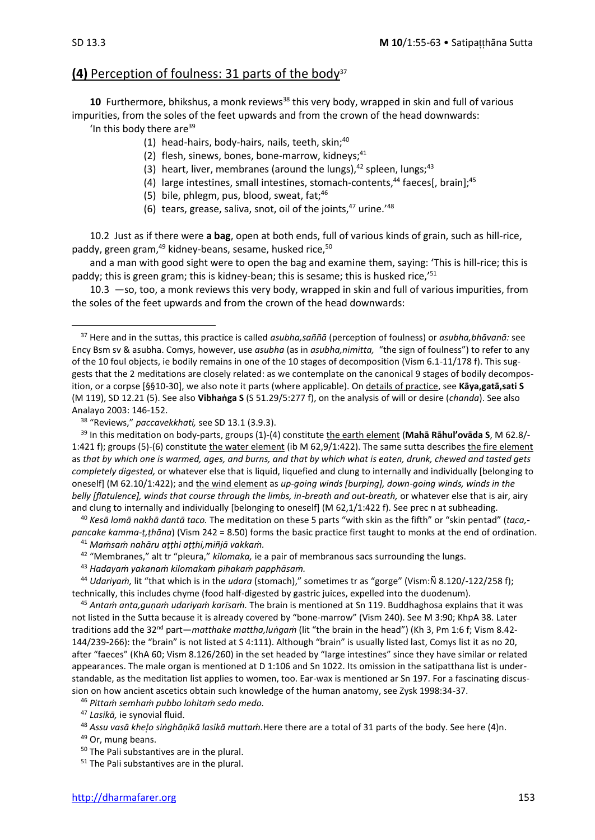# **(4)** Perception of foulness: 31 parts of the body<sup>37</sup>

10 Furthermore, bhikshus, a monk reviews<sup>38</sup> this very body, wrapped in skin and full of various impurities, from the soles of the feet upwards and from the crown of the head downwards:

'In this body there are $39$ 

- (1) head-hairs, body-hairs, nails, teeth, skin; $40$
- (2) flesh, sinews, bones, bone-marrow, kidneys; $41$
- (3) heart, liver, membranes (around the lungs), $42$  spleen, lungs; $43$
- (4) large intestines, small intestines, stomach-contents, $44$  faeces[, brain]; $45$
- (5) bile, phlegm, pus, blood, sweat,  $fat: <sup>46</sup>$
- (6) tears, grease, saliva, snot, oil of the joints, $47$  urine.<sup> $48$ </sup>

10.2 Just as if there were **a bag**, open at both ends, full of various kinds of grain, such as hill-rice, paddy, green gram, $49$  kidney-beans, sesame, husked rice, $50$ 

and a man with good sight were to open the bag and examine them, saying: 'This is hill-rice; this is paddy; this is green gram; this is kidney-bean; this is sesame; this is husked rice,<sup>'51</sup>

10.3 —so, too, a monk reviews this very body, wrapped in skin and full of various impurities, from the soles of the feet upwards and from the crown of the head downwards:

<sup>38</sup> "Reviews," *paccavekkhati,* see SD 13.1 (3.9.3).

<sup>39</sup> In this meditation on body-parts, groups (1)-(4) constitute the earth element (**Mahā Rāhul'ovāda S**, M 62.8/- 1:421 f); groups (5)-(6) constitute the water element (ib M 62,9/1:422). The same sutta describes the fire element as *that by which one is warmed, ages, and burns, and that by which what is eaten, drunk, chewed and tasted gets completely digested,* or whatever else that is liquid, liquefied and clung to internally and individually [belonging to oneself] (M 62.10/1:422); and the wind element as *up-going winds [burping], down-going winds, winds in the*  belly [flatulence], winds that course through the limbs, in-breath and out-breath, or whatever else that is air, airy and clung to internally and individually [belonging to oneself] (M 62,1/1:422 f). See prec n at subheading.

<sup>40</sup> *Kesā lomā nakhā dantā taco.* The meditation on these 5 parts "with skin as the fifth" or "skin pentad" (*taca, pancake kamma-ṭ,ṭhāna*) (Vism 242 = 8.50) forms the basic practice first taught to monks at the end of ordination.

<sup>41</sup> *Maṁsaṁ nahāru aṭṭhi aṭṭhi,miñjā vakkaṁ.*

<sup>42</sup> "Membranes," alt tr "pleura," *kilomaka,* ie a pair of membranous sacs surrounding the lungs.

<sup>43</sup> *Hadayaṁ yakanaṁ kilomakaṁ pihakaṁ papphāsaṁ.*

<sup>44</sup> *Udariyaṁ,* lit "that which is in the *udara* (stomach)," sometimes tr as "gorge" (Vism:Ñ 8.120/-122/258 f); technically, this includes chyme (food half-digested by gastric juices, expelled into the duodenum).

<sup>45</sup> *Antaṁ anta,guṇaṁ udariyaṁ karsaṁ.* The brain is mentioned at Sn 119. Buddhaghosa explains that it was not listed in the Sutta because it is already covered by "bone-marrow" (Vism 240). See M 3:90; KhpA 38. Later traditions add the 32nd part—*matthake mattha,luṅgaṁ* (lit "the brain in the head") (Kh 3, Pm 1:6 f; Vism 8.42- 144/239-266): the "brain" is not listed at S 4:111). Although "brain" is usually listed last, Comys list it as no 20, after "faeces" (KhA 60; Vism 8.126/260) in the set headed by "large intestines" since they have similar or related appearances. The male organ is mentioned at D 1:106 and Sn 1022. Its omission in the satipatthana list is understandable, as the meditation list applies to women, too. Ear-wax is mentioned ar Sn 197. For a fascinating discussion on how ancient ascetics obtain such knowledge of the human anatomy, see Zysk 1998:34-37.

<sup>46</sup> *Pittaṁ semhaṁ pubbo lohitaṁ sedo medo.*

<sup>47</sup> *Lasikā,* ie synovial fluid.

<sup>49</sup> Or, mung beans.

<sup>51</sup> The Pali substantives are in the plural.

<sup>37</sup> Here and in the suttas, this practice is called *asubha,saññā* (perception of foulness) or *asubha,bhāvanā:* see Ency Bsm sv & asubha. Comys, however, use *asubha* (as in *asubha,nimitta,* "the sign of foulness") to refer to any of the 10 foul objects, ie bodily remains in one of the 10 stages of decomposition (Vism 6.1-11/178 f). This suggests that the 2 meditations are closely related: as we contemplate on the canonical 9 stages of bodily decomposition, or a corpse [§§10-30], we also note it parts (where applicable). On details of practice, see **Kāya,gatā,sati S** (M 119), SD 12.21 (5). See also **Vibhaṅga S** (S 51.29/5:277 f), on the analysis of will or desire (*chanda*). See also Analayo 2003: 146-152.

<sup>48</sup> *Assu vasā kheo siṅghāṇikā lasikā muttaṁ.*Here there are a total of 31 parts of the body. See here (4)n.

<sup>&</sup>lt;sup>50</sup> The Pali substantives are in the plural.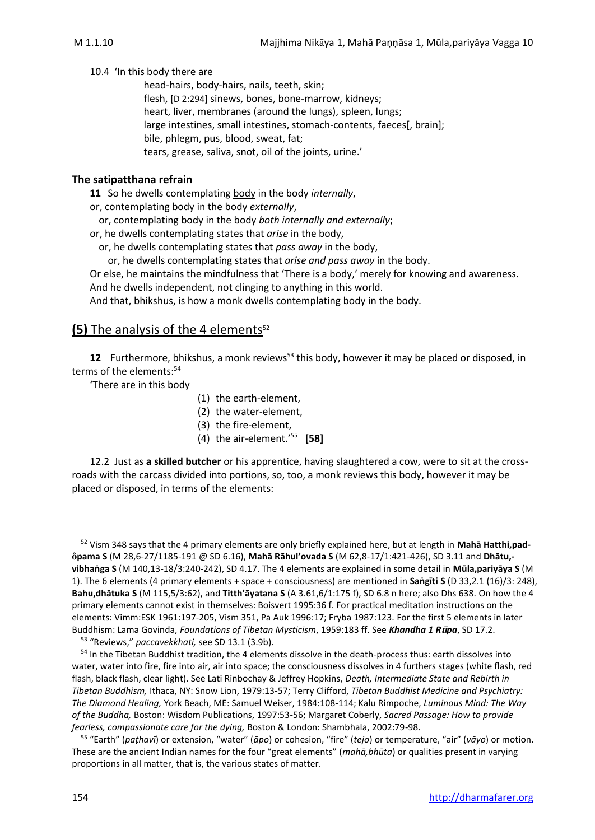10.4 'In this body there are

head-hairs, body-hairs, nails, teeth, skin; flesh, [D 2:294] sinews, bones, bone-marrow, kidneys; heart, liver, membranes (around the lungs), spleen, lungs; large intestines, small intestines, stomach-contents, faeces[, brain]; bile, phlegm, pus, blood, sweat, fat; tears, grease, saliva, snot, oil of the joints, urine.'

#### **The satipatthana refrain**

**11** So he dwells contemplating body in the body *internally*,

or, contemplating body in the body *externally*,

or, contemplating body in the body *both internally and externally*;

or, he dwells contemplating states that *arise* in the body,

or, he dwells contemplating states that *pass away* in the body,

or, he dwells contemplating states that *arise and pass away* in the body.

Or else, he maintains the mindfulness that 'There is a body,' merely for knowing and awareness.

And he dwells independent, not clinging to anything in this world.

And that, bhikshus, is how a monk dwells contemplating body in the body.

# **(5)** The analysis of the 4 elements<sup>52</sup>

**12** Furthermore, bhikshus, a monk reviews<sup>53</sup> this body, however it may be placed or disposed, in terms of the elements:<sup>54</sup>

'There are in this body

- (1) the earth-element,
- (2) the water-element,
- (3) the fire-element,
- (4) the air-element.'<sup>55</sup> **[58]**

12.2 Just as **a skilled butcher** or his apprentice, having slaughtered a cow, were to sit at the crossroads with the carcass divided into portions, so, too, a monk reviews this body, however it may be placed or disposed, in terms of the elements:

<sup>52</sup> Vism 348 says that the 4 primary elements are only briefly explained here, but at length in **Mahā Hatthi,pad pama S** (M 28,6-27/1185-191 @ SD 6.16), **Mahā Rāhul'ovada S** (M 62,8-17/1:421-426), SD 3.11 and **Dhātu, vibhaṅga S** (M 140,13-18/3:240-242), SD 4.17. The 4 elements are explained in some detail in **Mūla,pariyāya S** (M 1). The 6 elements (4 primary elements + space + consciousness) are mentioned in **Saṅgīti S** (D 33,2.1 (16)/3: 248), **Bahu,dhātuka S** (M 115,5/3:62), and **Titth'āyatana S** (A 3.61,6/1:175 f), SD 6.8 n here; also Dhs 638. On how the 4 primary elements cannot exist in themselves: Boisvert 1995:36 f. For practical meditation instructions on the elements: Vimm:ESK 1961:197-205, Vism 351, Pa Auk 1996:17; Fryba 1987:123. For the first 5 elements in later Buddhism: Lama Govinda, *Foundations of Tibetan Mysticism*, 1959:183 ff. See *Khandha 1 Rpa*, SD 17.2.

<sup>53</sup> "Reviews," *paccavekkhati,* see SD 13.1 (3.9b).

<sup>54</sup> In the Tibetan Buddhist tradition, the 4 elements dissolve in the death-process thus: earth dissolves into water, water into fire, fire into air, air into space; the consciousness dissolves in 4 furthers stages (white flash, red flash, black flash, clear light). See Lati Rinbochay & Jeffrey Hopkins, *Death, Intermediate State and Rebirth in Tibetan Buddhism,* Ithaca, NY: Snow Lion, 1979:13-57; Terry Clifford, *Tibetan Buddhist Medicine and Psychiatry: The Diamond Healing,* York Beach, ME: Samuel Weiser, 1984:108-114; Kalu Rimpoche, *Luminous Mind: The Way of the Buddha,* Boston: Wisdom Publications, 1997:53-56; Margaret Coberly, *Sacred Passage: How to provide fearless, compassionate care for the dying,* Boston & London: Shambhala, 2002:79-98.

<sup>55</sup> "Earth" (*paṭhavī*) or extension, "water" (*āpo*) or cohesion, "fire" (*tejo*) or temperature, "air" (*vāyo*) or motion. These are the ancient Indian names for the four "great elements" (*mahā,bhūta*) or qualities present in varying proportions in all matter, that is, the various states of matter.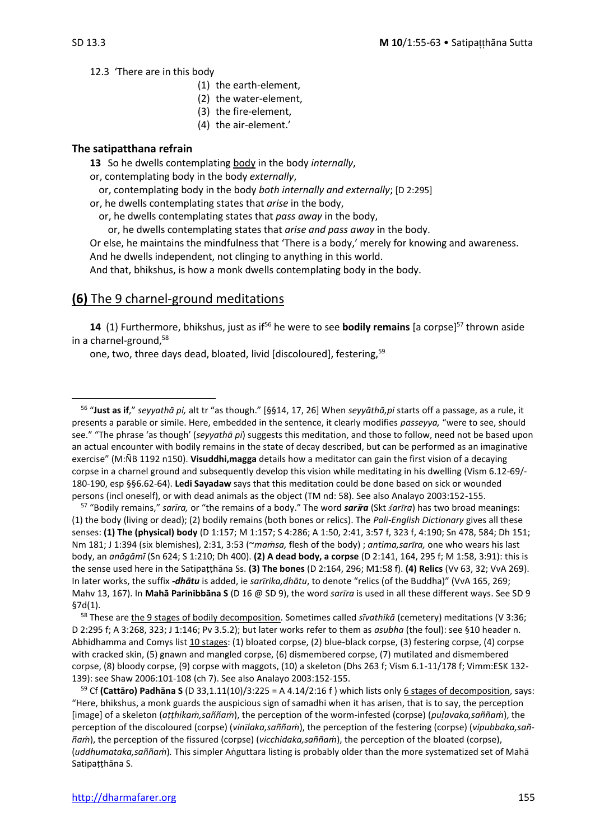12.3 'There are in this body

- (1) the earth-element,
- (2) the water-element,
- (3) the fire-element,
- (4) the air-element.'

#### **The satipatthana refrain**

**13** So he dwells contemplating body in the body *internally*,

or, contemplating body in the body *externally*,

or, contemplating body in the body *both internally and externally*; [D 2:295]

or, he dwells contemplating states that *arise* in the body,

or, he dwells contemplating states that *pass away* in the body,

or, he dwells contemplating states that *arise and pass away* in the body.

Or else, he maintains the mindfulness that 'There is a body,' merely for knowing and awareness. And he dwells independent, not clinging to anything in this world.

And that, bhikshus, is how a monk dwells contemplating body in the body.

# **(6)** The 9 charnel-ground meditations

**14** (1) Furthermore, bhikshus, just as if<sup>56</sup> he were to see **bodily remains** [a corpse]<sup>57</sup> thrown aside in a charnel-ground,<sup>58</sup>

one, two, three days dead, bloated, livid [discoloured], festering,<sup>59</sup>

<sup>57</sup> "Bodily remains," *sarīra,* or "the remains of a body." The word *sarra* (Skt *arra*) has two broad meanings: (1) the body (living or dead); (2) bodily remains (both bones or relics). The *Pali-English Dictionary* gives all these senses: **(1) The (physical) body** (D 1:157; M 1:157; S 4:286; A 1:50, 2:41, 3:57 f, 323 f, 4:190; Sn 478, 584; Dh 151; Nm 181; J 1:394 (six blemishes), 2:31, 3:53 (~*maṁsa,* flesh of the body) ; *antima,sarra,* one who wears his last body, an *anāgāmī* (Sn 624; S 1:210; Dh 400). **(2) A dead body, a corpse** (D 2:141, 164, 295 f; M 1:58, 3:91): this is the sense used here in the Satipaṭṭhāna Ss. **(3) The bones** (D 2:164, 296; M1:58 f). **(4) Relics** (Vv 63, 32; VvA 269). In later works, the suffix *-dhātu* is added, ie *sarrika,dhātu*, to denote "relics (of the Buddha)" (VvA 165, 269; Mahv 13, 167). In **Mahā Parinibbāna S** (D 16 @ SD 9), the word *sarra* is used in all these different ways. See SD 9 §7d(1).

<sup>58</sup> These are the 9 stages of bodily decomposition. Sometimes called *sīvathikā* (cemetery) meditations (V 3:36; D 2:295 f; A 3:268, 323; J 1:146; Pv 3.5.2); but later works refer to them as *asubha* (the foul): see §10 header n. Abhidhamma and Comys list 10 stages: (1) bloated corpse, (2) blue-black corpse, (3) festering corpse, (4) corpse with cracked skin, (5) gnawn and mangled corpse, (6) dismembered corpse, (7) mutilated and dismembered corpse, (8) bloody corpse, (9) corpse with maggots, (10) a skeleton (Dhs 263 f; Vism 6.1-11/178 f; Vimm:ESK 132- 139): see Shaw 2006:101-108 (ch 7). See also Analayo 2003:152-155.

<sup>59</sup> Cf **(Cattāro) Padhāna S** (D 33,1.11(10)/3:225 = A 4.14/2:16 f ) which lists only 6 stages of decomposition, says: "Here, bhikshus, a monk guards the auspicious sign of samadhi when it has arisen, that is to say, the perception [image] of a skeleton (*aṭṭhikaṁ,saññaṁ*), the perception of the worm-infested (corpse) (*puavaka,saññaṁ*), the perception of the discoloured (corpse) (*vinlaka,saññaṁ*), the perception of the festering (corpse) (*vipubbaka,saññaṁ*), the perception of the fissured (corpse) (*vicchidaka,saññaṁ*), the perception of the bloated (corpse), (*uddhumataka,saññaṁ*)*.* This simpler Aṅguttara listing is probably older than the more systematized set of Mahā Satipaṭṭhāna S.

<sup>56</sup> "**Just as if**," *seyyathā pi,* alt tr "as though." [§§14, 17, 26] When *seyyāthā,pi* starts off a passage, as a rule, it presents a parable or simile. Here, embedded in the sentence, it clearly modifies *passeyya,* "were to see, should see." "The phrase 'as though' (*seyyathā pi*) suggests this meditation, and those to follow, need not be based upon an actual encounter with bodily remains in the state of decay described, but can be performed as an imaginative exercise" (M:ÑB 1192 n150). **Visuddhi,magga** details how a meditator can gain the first vision of a decaying corpse in a charnel ground and subsequently develop this vision while meditating in his dwelling (Vism 6.12-69/- 180-190, esp §§6.62-64). **Ledi Sayadaw** says that this meditation could be done based on sick or wounded persons (incl oneself), or with dead animals as the object (TM nd: 58). See also Analayo 2003:152-155.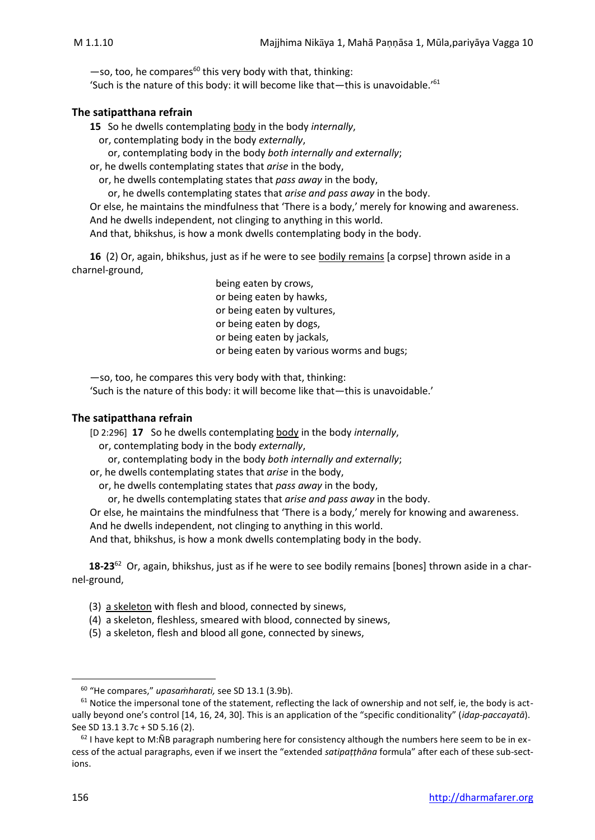$-$ so, too, he compares<sup>60</sup> this very body with that, thinking:

'Such is the nature of this body: it will become like that—this is unavoidable.'<sup>61</sup>

#### **The satipatthana refrain**

**15** So he dwells contemplating body in the body *internally*,

or, contemplating body in the body *externally*,

or, contemplating body in the body *both internally and externally*;

or, he dwells contemplating states that *arise* in the body,

or, he dwells contemplating states that *pass away* in the body,

or, he dwells contemplating states that *arise and pass away* in the body.

Or else, he maintains the mindfulness that 'There is a body,' merely for knowing and awareness. And he dwells independent, not clinging to anything in this world.

And that, bhikshus, is how a monk dwells contemplating body in the body.

**16** (2) Or, again, bhikshus, just as if he were to see bodily remains [a corpse] thrown aside in a charnel-ground,

> being eaten by crows, or being eaten by hawks, or being eaten by vultures, or being eaten by dogs, or being eaten by jackals, or being eaten by various worms and bugs;

—so, too, he compares this very body with that, thinking:

'Such is the nature of this body: it will become like that—this is unavoidable.'

#### **The satipatthana refrain**

[D 2:296] **17** So he dwells contemplating body in the body *internally*, or, contemplating body in the body *externally*,

or, contemplating body in the body *both internally and externally*;

or, he dwells contemplating states that *arise* in the body,

or, he dwells contemplating states that *pass away* in the body,

or, he dwells contemplating states that *arise and pass away* in the body.

Or else, he maintains the mindfulness that 'There is a body,' merely for knowing and awareness.

And he dwells independent, not clinging to anything in this world.

And that, bhikshus, is how a monk dwells contemplating body in the body.

**18-23**<sup>62</sup> Or, again, bhikshus, just as if he were to see bodily remains [bones] thrown aside in a charnel-ground,

- (3) a skeleton with flesh and blood, connected by sinews,
- (4) a skeleton, fleshless, smeared with blood, connected by sinews,
- (5) a skeleton, flesh and blood all gone, connected by sinews,

<sup>60</sup> "He compares," *upasaṁharati,* see SD 13.1 (3.9b).

 $61$  Notice the impersonal tone of the statement, reflecting the lack of ownership and not self, ie, the body is actually beyond one's control [14, 16, 24, 30]. This is an application of the "specific conditionality" (*idap-paccayatā*). See SD 13.1 3.7c + SD 5.16 (2).

 $62$  I have kept to M:ÑB paragraph numbering here for consistency although the numbers here seem to be in excess of the actual paragraphs, even if we insert the "extended *satipaṭṭhāna* formula" after each of these sub-sections.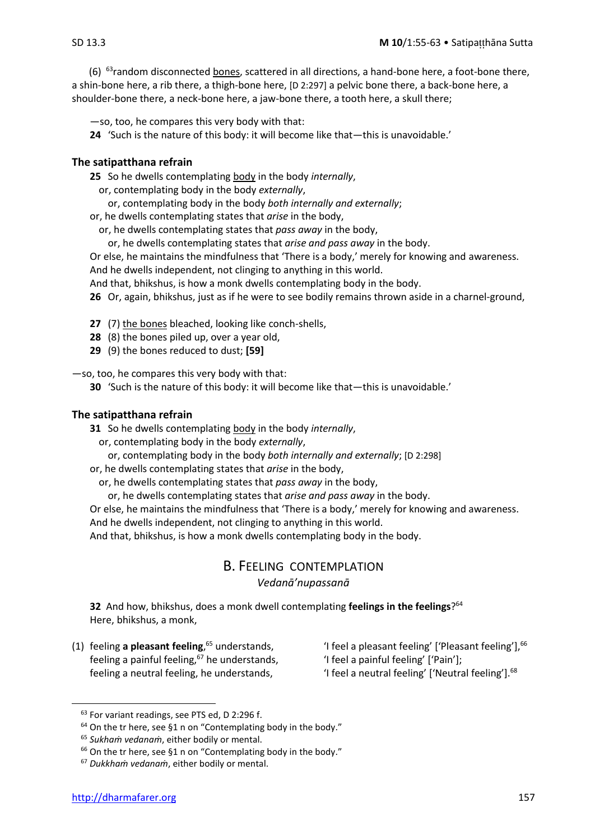(6)  $^{63}$ random disconnected bones, scattered in all directions, a hand-bone here, a foot-bone there, a shin-bone here, a rib there, a thigh-bone here, [D 2:297] a pelvic bone there, a back-bone here, a shoulder-bone there, a neck-bone here, a jaw-bone there, a tooth here, a skull there;

—so, too, he compares this very body with that:

**24** 'Such is the nature of this body: it will become like that—this is unavoidable.'

#### **The satipatthana refrain**

**25** So he dwells contemplating body in the body *internally*,

- or, contemplating body in the body *externally*,
- or, contemplating body in the body *both internally and externally*;
- or, he dwells contemplating states that *arise* in the body,
	- or, he dwells contemplating states that *pass away* in the body,

or, he dwells contemplating states that *arise and pass away* in the body.

Or else, he maintains the mindfulness that 'There is a body,' merely for knowing and awareness. And he dwells independent, not clinging to anything in this world.

And that, bhikshus, is how a monk dwells contemplating body in the body.

**26** Or, again, bhikshus, just as if he were to see bodily remains thrown aside in a charnel-ground,

**27** (7) the bones bleached, looking like conch-shells,

- **28** (8) the bones piled up, over a year old,
- **29** (9) the bones reduced to dust; **[59]**

—so, too, he compares this very body with that:

**30** 'Such is the nature of this body: it will become like that—this is unavoidable.'

#### **The satipatthana refrain**

**31** So he dwells contemplating body in the body *internally*,

or, contemplating body in the body *externally*,

or, contemplating body in the body *both internally and externally*; [D 2:298]

or, he dwells contemplating states that *arise* in the body,

or, he dwells contemplating states that *pass away* in the body,

or, he dwells contemplating states that *arise and pass away* in the body.

Or else, he maintains the mindfulness that 'There is a body,' merely for knowing and awareness.

And he dwells independent, not clinging to anything in this world.

And that, bhikshus, is how a monk dwells contemplating body in the body.

#### B. FEELING CONTEMPLATION

*Vedanā'nupassanā*

**32** And how, bhikshus, does a monk dwell contemplating **feelings in the feelings**? 64 Here, bhikshus, a monk,

- (1) feeling **a pleasant feeling**, feeling a painful feeling,<sup>67</sup> he understands,  $\qquad$  'I feel a painful feeling' ['Pain'];
- <sup>65</sup> understands,  $\hspace{1cm}$  'I feel a pleasant feeling' ['Pleasant feeling'],  $^{66}$ 
	-
	- feeling a neutral feeling, he understands,  $\qquad \qquad$  'I feel a neutral feeling' ['Neutral feeling'].<sup>68</sup>

<sup>&</sup>lt;sup>63</sup> For variant readings, see PTS ed, D 2:296 f.

<sup>64</sup> On the tr here, see §1 n on "Contemplating body in the body."

<sup>65</sup> *Sukhaṁ vedanaṁ*, either bodily or mental.

<sup>&</sup>lt;sup>66</sup> On the tr here, see §1 n on "Contemplating body in the body."

<sup>67</sup> *Dukkhaṁ vedanaṁ*, either bodily or mental.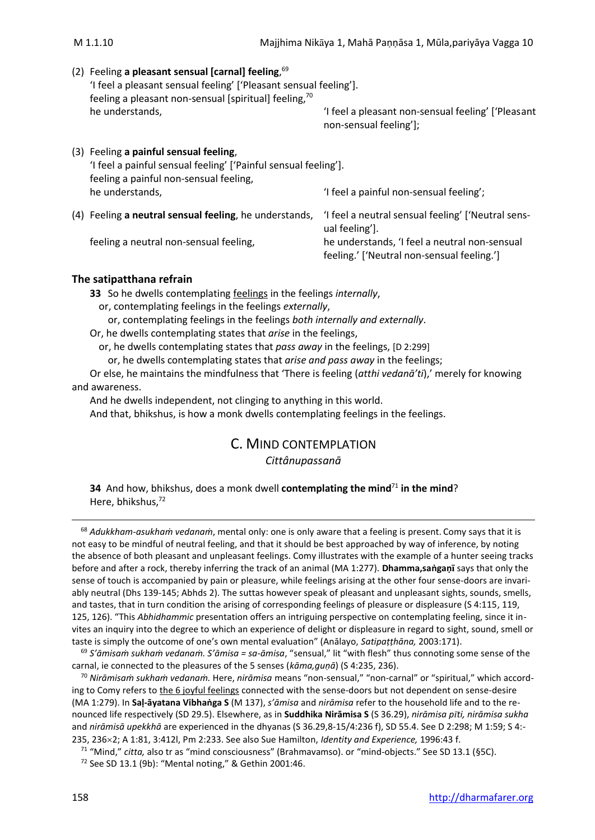| (2) Feeling a pleasant sensual [carnal] feeling, $69$<br>'I feel a pleasant sensual feeling' ['Pleasant sensual feeling'].                          |                                                                                             |
|-----------------------------------------------------------------------------------------------------------------------------------------------------|---------------------------------------------------------------------------------------------|
| feeling a pleasant non-sensual [spiritual] feeling, <sup>70</sup><br>he understands,                                                                | 'I feel a pleasant non-sensual feeling' ['Pleasant<br>non-sensual feeling'];                |
| (3) Feeling a painful sensual feeling,<br>'I feel a painful sensual feeling' ['Painful sensual feeling'].<br>feeling a painful non-sensual feeling, |                                                                                             |
| he understands,                                                                                                                                     | 'I feel a painful non-sensual feeling';                                                     |
| (4) Feeling a neutral sensual feeling, he understands,                                                                                              | 'I feel a neutral sensual feeling' ['Neutral sens-<br>ual feeling'].                        |
| feeling a neutral non-sensual feeling,                                                                                                              | he understands, 'I feel a neutral non-sensual<br>feeling.' ['Neutral non-sensual feeling.'] |
|                                                                                                                                                     |                                                                                             |

**33** So he dwells contemplating feelings in the feelings *internally*,

- or, contemplating feelings in the feelings *externally*,
	- or, contemplating feelings in the feelings *both internally and externally*.

Or, he dwells contemplating states that *arise* in the feelings,

or, he dwells contemplating states that *pass away* in the feelings, [D 2:299]

or, he dwells contemplating states that *arise and pass away* in the feelings;

Or else, he maintains the mindfulness that 'There is feeling (*atthi vedanā'ti*),' merely for knowing and awareness.

And he dwells independent, not clinging to anything in this world.

And that, bhikshus, is how a monk dwells contemplating feelings in the feelings.

# C. MIND CONTEMPLATION

#### *Cittânupassanā*

**34** And how, bhikshus, does a monk dwell **contemplating the mind**<sup>71</sup> **in the mind**? Here, bhikshus,<sup>72</sup>

<sup>68</sup> *Adukkham-asukhaṁ vedanaṁ*, mental only: one is only aware that a feeling is present. Comy says that it is not easy to be mindful of neutral feeling, and that it should be best approached by way of inference, by noting the absence of both pleasant and unpleasant feelings. Comy illustrates with the example of a hunter seeing tracks before and after a rock, thereby inferring the track of an animal (MA 1:277). **Dhamma,saṅgaṇ** says that only the sense of touch is accompanied by pain or pleasure, while feelings arising at the other four sense-doors are invariably neutral (Dhs 139-145; Abhds 2). The suttas however speak of pleasant and unpleasant sights, sounds, smells, and tastes, that in turn condition the arising of corresponding feelings of pleasure or displeasure (S 4:115, 119, 125, 126). "This *Abhidhammic* presentation offers an intriguing perspective on contemplating feeling, since it invites an inquiry into the degree to which an experience of delight or displeasure in regard to sight, sound, smell or taste is simply the outcome of one's own mental evaluation" (Anālayo, *Satipaṭṭhāna,* 2003:171).

<sup>69</sup> *S'āmisaṁ sukhaṁ vedanaṁ. S'āmisa = sa-āmisa*, "sensual," lit "with flesh" thus connoting some sense of the carnal, ie connected to the pleasures of the 5 senses (*kāma,guṇā*) (S 4:235, 236).

<sup>70</sup> *Nirāmisaṁ sukhaṁ vedanaṁ.* Here, *nirāmisa* means "non-sensual," "non-carnal" or "spiritual," which according to Comy refers to the 6 joyful feelings connected with the sense-doors but not dependent on sense-desire (MA 1:279). In **Saḷ-āyatana Vibhaṅga S** (M 137), *s'āmisa* and *nirāmisa* refer to the household life and to the renounced life respectively (SD 29.5). Elsewhere, as in **Suddhika Nirāmisa S** (S 36.29), *nirāmisa pti, nirāmisa sukha* and *nirāmisā upekkhā* are experienced in the dhyanas (S 36.29,8-15/4:236 f), SD 55.4. See D 2:298; M 1:59; S 4:- 235, 2362; A 1:81, 3:412l, Pm 2:233. See also Sue Hamilton, *Identity and Experience,* 1996:43 f.

<sup>71</sup> "Mind," *citta,* also tr as "mind consciousness" (Brahmavamso). or "mind-objects." See SD 13.1 (§5C).

<sup>72</sup> See SD 13.1 (9b): "Mental noting," & Gethin 2001:46.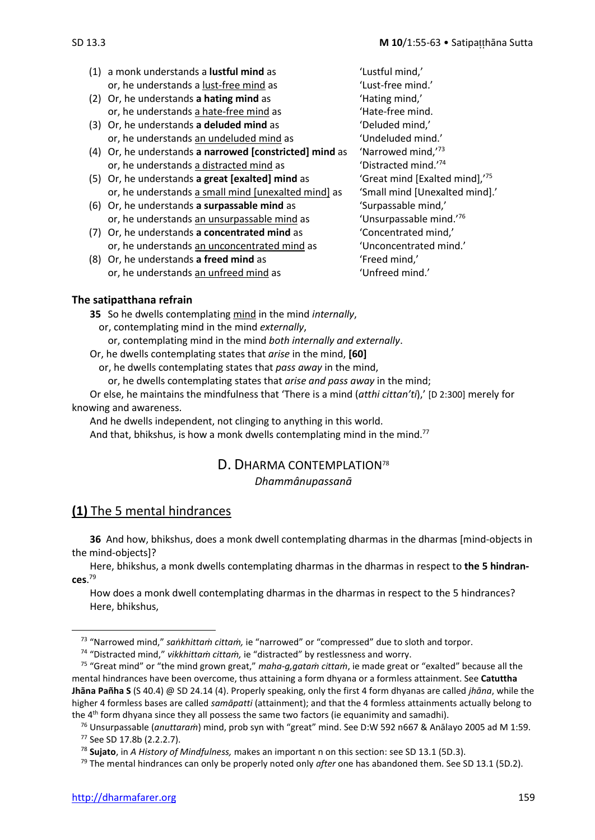- (1) a monk understands a **lustful mind** as 'Lustful mind,' or, he understands a lust-free mind as 'Lust-free mind.'
- (2) Or, he understands **a hating mind** as 'Hating mind,' or, he understands a hate-free mind as  $\blacksquare$  Thate-free mind.
- (3) Or, he understands **a deluded mind** as 'Deluded mind,' or, he understands an undeluded mind as 'Undeluded mind.'
- (4) Or, he understands **a narrowed [constricted] mind** as 'Narrowed mind,'<sup>73</sup> or, he understands a distracted mind as  $\frac{174}{2}$
- (5) Or, he understands **a great [exalted] mind** as 'Great mind [Exalted mind],'<sup>75</sup> or, he understands a small mind [unexalted mind] as 'Small mind [Unexalted mind].'
- (6) Or, he understands **a surpassable mind** as 'Surpassable mind,' or, he understands an unsurpassable mind as "Unsurpassable mind.<sup>76</sup>
- 
- or, he understands an unfreed mind as 'Unfreed mind.'

(7) Or, he understands **a concentrated mind** as 'Concentrated mind,' or, he understands an unconcentrated mind as 'Unconcentrated mind.' (8) Or, he understands **a freed mind** as 'Freed mind,'

**35** So he dwells contemplating mind in the mind *internally*, or, contemplating mind in the mind *externally*,

or, contemplating mind in the mind *both internally and externally*.

Or, he dwells contemplating states that *arise* in the mind, **[60]**

or, he dwells contemplating states that *pass away* in the mind,

or, he dwells contemplating states that *arise and pass away* in the mind;

Or else, he maintains the mindfulness that 'There is a mind (*atthi cittan'ti*),' [D 2:300] merely for knowing and awareness.

And he dwells independent, not clinging to anything in this world. And that, bhikshus, is how a monk dwells contemplating mind in the mind.<sup>77</sup>

# D. DHARMA CONTEMPLATION<sup>78</sup> *Dhammânupassanā*

# **(1)** The 5 mental hindrances

**36** And how, bhikshus, does a monk dwell contemplating dharmas in the dharmas [mind-objects in the mind-objects]?

Here, bhikshus, a monk dwells contemplating dharmas in the dharmas in respect to **the 5 hindrances**. 79

How does a monk dwell contemplating dharmas in the dharmas in respect to the 5 hindrances? Here, bhikshus,

<sup>73</sup> "Narrowed mind," *saṅkhittaṁ cittaṁ,* ie "narrowed" or "compressed" due to sloth and torpor.

<sup>74</sup> "Distracted mind," *vikkhittaṁ cittaṁ,* ie "distracted" by restlessness and worry.

<sup>75</sup> "Great mind" or "the mind grown great," *maha-g,gataṁ cittaṁ*, ie made great or "exalted" because all the mental hindrances have been overcome, thus attaining a form dhyana or a formless attainment. See **Catuttha Jhāna Pañha S** (S 40.4) @ SD 24.14 (4). Properly speaking, only the first 4 form dhyanas are called *jhāna*, while the higher 4 formless bases are called *samāpatti* (attainment); and that the 4 formless attainments actually belong to the 4<sup>th</sup> form dhyana since they all possess the same two factors (ie equanimity and samadhi).

<sup>76</sup> Unsurpassable (*anuttaraṁ*) mind, prob syn with "great" mind. See D:W 592 n667 & Anālayo 2005 ad M 1:59. <sup>77</sup> See SD 17.8b (2.2.2.7).

<sup>78</sup> **Sujato**, in *A History of Mindfulness,* makes an important n on this section: see SD 13.1 (5D.3).

<sup>79</sup> The mental hindrances can only be properly noted only *after* one has abandoned them. See SD 13.1 (5D.2).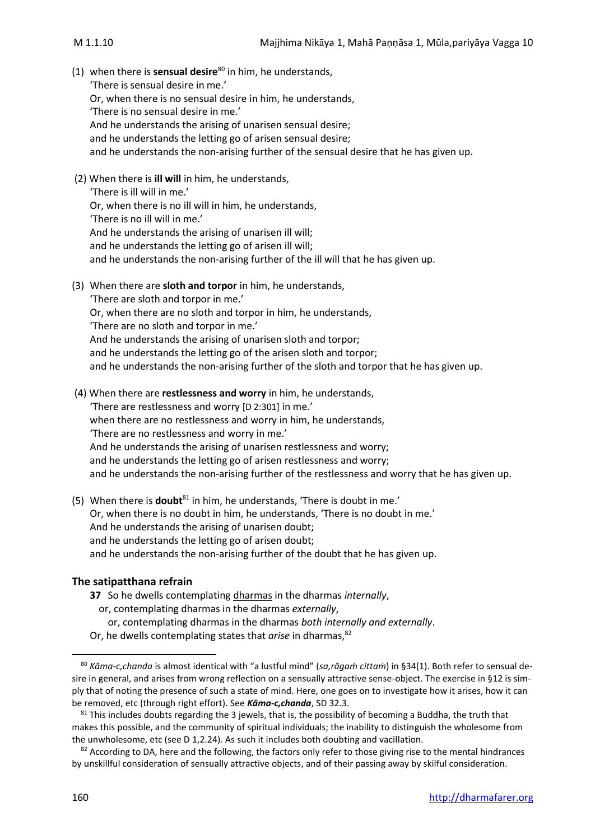- (1) when there is **sensual desire**<sup>80</sup> in him, he understands, 'There is sensual desire in me.' Or, when there is no sensual desire in him, he understands, 'There is no sensual desire in me.' And he understands the arising of unarisen sensual desire; and he understands the letting go of arisen sensual desire; and he understands the non-arising further of the sensual desire that he has given up.
- (2) When there is **ill will** in him, he understands, 'There is ill will in me.' Or, when there is no ill will in him, he understands, 'There is no ill will in me.' And he understands the arising of unarisen ill will; and he understands the letting go of arisen ill will; and he understands the non-arising further of the ill will that he has given up.
- (3) When there are **sloth and torpor** in him, he understands, 'There are sloth and torpor in me.' Or, when there are no sloth and torpor in him, he understands, 'There are no sloth and torpor in me.' And he understands the arising of unarisen sloth and torpor; and he understands the letting go of the arisen sloth and torpor; and he understands the non-arising further of the sloth and torpor that he has given up.
- (4) When there are **restlessness and worry** in him, he understands, 'There are restlessness and worry [D 2:301] in me.' when there are no restlessness and worry in him, he understands, 'There are no restlessness and worry in me.' And he understands the arising of unarisen restlessness and worry; and he understands the letting go of arisen restlessness and worry; and he understands the non-arising further of the restlessness and worry that he has given up.
- (5) When there is **doubt**<sup>81</sup> in him, he understands, 'There is doubt in me.' Or, when there is no doubt in him, he understands, 'There is no doubt in me.' And he understands the arising of unarisen doubt; and he understands the letting go of arisen doubt; and he understands the non-arising further of the doubt that he has given up.

- **37** So he dwells contemplating dharmas in the dharmas *internally*,
	- or, contemplating dharmas in the dharmas *externally*,
	- or, contemplating dharmas in the dharmas *both internally and externally*.
- Or, he dwells contemplating states that *arise* in dharmas,<sup>82</sup>

<sup>80</sup> *Kāma-c,chanda* is almost identical with "a lustful mind" (*sa,rāgaṁ cittaṁ*) in §34(1). Both refer to sensual desire in general, and arises from wrong reflection on a sensually attractive sense-object. The exercise in §12 is simply that of noting the presence of such a state of mind. Here, one goes on to investigate how it arises, how it can be removed, etc (through right effort). See *Kāma-c,chanda*, SD 32.3.

 $81$  This includes doubts regarding the 3 jewels, that is, the possibility of becoming a Buddha, the truth that makes this possible, and the community of spiritual individuals; the inability to distinguish the wholesome from the unwholesome, etc (see D 1,2.24). As such it includes both doubting and vacillation.

 $82$  According to DA, here and the following, the factors only refer to those giving rise to the mental hindrances by unskillful consideration of sensually attractive objects, and of their passing away by skilful consideration.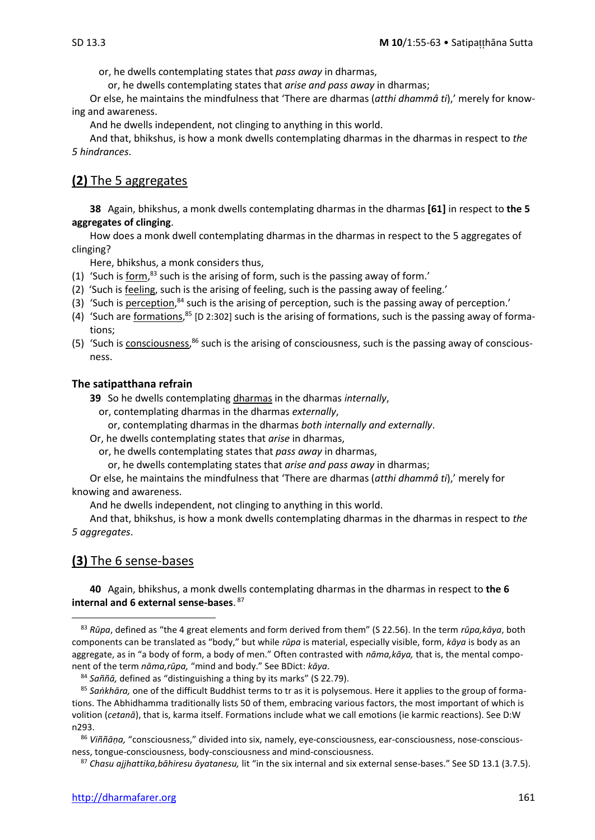or, he dwells contemplating states that *pass away* in dharmas,

or, he dwells contemplating states that *arise and pass away* in dharmas;

Or else, he maintains the mindfulness that 'There are dharmas (*atthi dhammâ ti*),' merely for knowing and awareness.

And he dwells independent, not clinging to anything in this world.

And that, bhikshus, is how a monk dwells contemplating dharmas in the dharmas in respect to *the 5 hindrances*.

# **(2)** The 5 aggregates

**38** Again, bhikshus, a monk dwells contemplating dharmas in the dharmas **[61]** in respect to **the 5 aggregates of clinging**.

How does a monk dwell contemplating dharmas in the dharmas in respect to the 5 aggregates of clinging?

Here, bhikshus, a monk considers thus,

- (1) 'Such is  $form<sup>83</sup>$  such is the arising of form, such is the passing away of form.'</u>
- (2) 'Such is feeling, such is the arising of feeling, such is the passing away of feeling.'
- (3) 'Such is perception,<sup>84</sup> such is the arising of perception, such is the passing away of perception.'
- (4) 'Such are formations, <sup>85</sup> [D 2:302] such is the arising of formations, such is the passing away of formations;
- (5) 'Such is consciousness,<sup>86</sup> such is the arising of consciousness, such is the passing away of consciousness.

#### **The satipatthana refrain**

**39** So he dwells contemplating dharmas in the dharmas *internally*,

or, contemplating dharmas in the dharmas *externally*,

or, contemplating dharmas in the dharmas *both internally and externally*.

Or, he dwells contemplating states that *arise* in dharmas,

or, he dwells contemplating states that *pass away* in dharmas,

or, he dwells contemplating states that *arise and pass away* in dharmas;

Or else, he maintains the mindfulness that 'There are dharmas (*atthi dhammâ ti*),' merely for knowing and awareness.

And he dwells independent, not clinging to anything in this world.

And that, bhikshus, is how a monk dwells contemplating dharmas in the dharmas in respect to *the 5 aggregates*.

#### **(3)** The 6 sense-bases

**40** Again, bhikshus, a monk dwells contemplating dharmas in the dharmas in respect to **the 6 internal and 6 external sense-bases**. 87

<sup>83</sup> *Rūpa*, defined as "the 4 great elements and form derived from them" (S 22.56). In the term *rūpa,kāya*, both components can be translated as "body," but while *rūpa* is material, especially visible, form, *kāya* is body as an aggregate, as in "a body of form, a body of men." Often contrasted with *nāma,kāya,* that is, the mental component of the term *nāma,rūpa,* "mind and body." See BDict: *kāya*.

<sup>84</sup> *Saññā,* defined as "distinguishing a thing by its marks" (S 22.79).

<sup>85</sup> *Saṅkhāra,* one of the difficult Buddhist terms to tr as it is polysemous. Here it applies to the group of formations. The Abhidhamma traditionally lists 50 of them, embracing various factors, the most important of which is volition (*cetanā*), that is, karma itself. Formations include what we call emotions (ie karmic reactions). See D:W n293.

<sup>86</sup> *Viññāṇa,* "consciousness," divided into six, namely, eye-consciousness, ear-consciousness, nose-consciousness, tongue-consciousness, body-consciousness and mind-consciousness.

<sup>87</sup> *Chasu ajjhattika,bāhiresu āyatanesu,* lit "in the six internal and six external sense-bases." See SD 13.1 (3.7.5).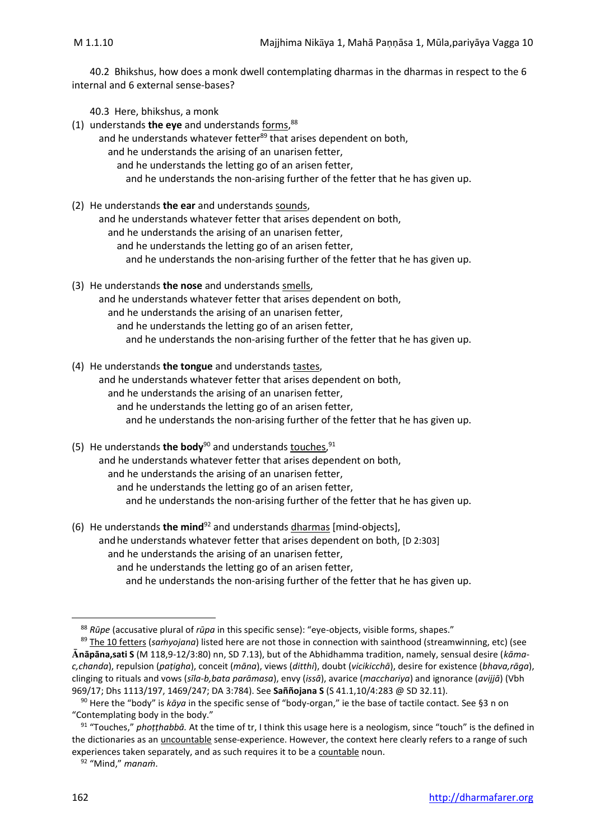40.2 Bhikshus, how does a monk dwell contemplating dharmas in the dharmas in respect to the 6 internal and 6 external sense-bases?

40.3 Here, bhikshus, a monk

- (1) understands **the eye** and understands forms, 88
	- and he understands whatever fetter<sup>89</sup> that arises dependent on both,
		- and he understands the arising of an unarisen fetter,
			- and he understands the letting go of an arisen fetter,
			- and he understands the non-arising further of the fetter that he has given up.
- (2) He understands **the ear** and understands sounds, and he understands whatever fetter that arises dependent on both, and he understands the arising of an unarisen fetter, and he understands the letting go of an arisen fetter, and he understands the non-arising further of the fetter that he has given up.
- (3) He understands **the nose** and understands smells, and he understands whatever fetter that arises dependent on both, and he understands the arising of an unarisen fetter, and he understands the letting go of an arisen fetter, and he understands the non-arising further of the fetter that he has given up.
- (4) He understands **the tongue** and understands tastes, and he understands whatever fetter that arises dependent on both, and he understands the arising of an unarisen fetter, and he understands the letting go of an arisen fetter, and he understands the non-arising further of the fetter that he has given up.
- (5) He understands **the body**<sup>90</sup> and understands touches,<sup>91</sup> and he understands whatever fetter that arises dependent on both, and he understands the arising of an unarisen fetter, and he understands the letting go of an arisen fetter, and he understands the non-arising further of the fetter that he has given up.
- (6) He understands **the mind**<sup>92</sup> and understands dharmas [mind-objects], andhe understands whatever fetter that arises dependent on both, [D 2:303] and he understands the arising of an unarisen fetter, and he understands the letting go of an arisen fetter, and he understands the non-arising further of the fetter that he has given up.

<sup>88</sup> *Rūpe* (accusative plural of *rūpa* in this specific sense): "eye-objects, visible forms, shapes."

<sup>89</sup> The 10 fetters (*saṁyojana*) listed here are not those in connection with sainthood (streamwinning, etc) (see **nāpāna,sati S** (M 118,9-12/3:80) nn, SD 7.13), but of the Abhidhamma tradition, namely, sensual desire (*kāmac,chanda*), repulsion (*paṭigha*), conceit (*māna*), views (*ditthi*), doubt (*vicikicchā*), desire for existence (*bhava,rāga*), clinging to rituals and vows (*sīla-b,bata parāmasa*), envy (*issā*), avarice (*macchariya*) and ignorance (*avijjā*) (Vbh 969/17; Dhs 1113/197, 1469/247; DA 3:784). See **Saññojana S** (S 41.1,10/4:283 @ SD 32.11).

<sup>90</sup> Here the "body" is *kāya* in the specific sense of "body-organ," ie the base of tactile contact. See §3 n on "Contemplating body in the body."

<sup>91</sup> "Touches," *phoṭṭhabbā.* At the time of tr, I think this usage here is a neologism, since "touch" is the defined in the dictionaries as an *uncountable* sense-experience. However, the context here clearly refers to a range of such experiences taken separately, and as such requires it to be a countable noun.

<sup>92</sup> "Mind," *manaṁ*.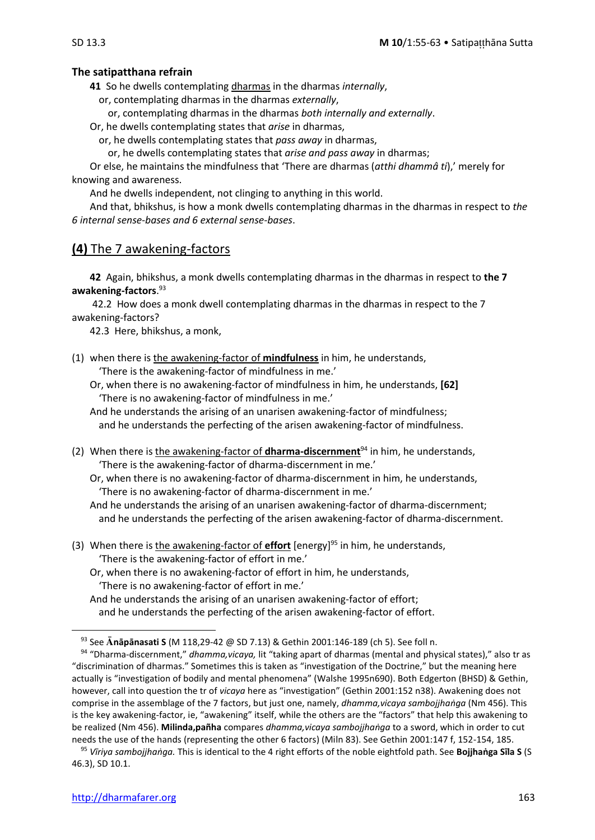**41** So he dwells contemplating dharmas in the dharmas *internally*,

or, contemplating dharmas in the dharmas *externally*,

or, contemplating dharmas in the dharmas *both internally and externally*.

Or, he dwells contemplating states that *arise* in dharmas,

or, he dwells contemplating states that *pass away* in dharmas,

or, he dwells contemplating states that *arise and pass away* in dharmas;

Or else, he maintains the mindfulness that 'There are dharmas (*atthi dhammâ ti*),' merely for knowing and awareness.

And he dwells independent, not clinging to anything in this world.

And that, bhikshus, is how a monk dwells contemplating dharmas in the dharmas in respect to *the 6 internal sense-bases and 6 external sense-bases*.

# **(4)** The 7 awakening-factors

**42** Again, bhikshus, a monk dwells contemplating dharmas in the dharmas in respect to **the 7 awakening-factors**. 93

42.2 How does a monk dwell contemplating dharmas in the dharmas in respect to the 7 awakening-factors?

42.3 Here, bhikshus, a monk,

(1) when there is the awakening-factor of **mindfulness** in him, he understands, 'There is the awakening-factor of mindfulness in me.'

Or, when there is no awakening-factor of mindfulness in him, he understands, **[62]**  'There is no awakening-factor of mindfulness in me.'

And he understands the arising of an unarisen awakening-factor of mindfulness; and he understands the perfecting of the arisen awakening-factor of mindfulness.

(2) When there is the awakening-factor of **dharma-discernment**<sup>94</sup> in him, he understands, 'There is the awakening-factor of dharma-discernment in me.'

Or, when there is no awakening-factor of dharma-discernment in him, he understands, 'There is no awakening-factor of dharma-discernment in me.'

And he understands the arising of an unarisen awakening-factor of dharma-discernment; and he understands the perfecting of the arisen awakening-factor of dharma-discernment.

(3) When there is the awakening-factor of **effort** [energy] <sup>95</sup> in him, he understands, 'There is the awakening-factor of effort in me.'

Or, when there is no awakening-factor of effort in him, he understands, 'There is no awakening-factor of effort in me.'

And he understands the arising of an unarisen awakening-factor of effort; and he understands the perfecting of the arisen awakening-factor of effort.

<sup>93</sup> See Anapanasati S (M 118,29-42 @ SD 7.13) & Gethin 2001:146-189 (ch 5). See foll n.

<sup>94</sup> "Dharma-discernment," *dhamma,vicaya,* lit "taking apart of dharmas (mental and physical states)," also tr as "discrimination of dharmas." Sometimes this is taken as "investigation of the Doctrine," but the meaning here actually is "investigation of bodily and mental phenomena" (Walshe 1995n690). Both Edgerton (BHSD) & Gethin, however, call into question the tr of *vicaya* here as "investigation" (Gethin 2001:152 n38). Awakening does not comprise in the assemblage of the 7 factors, but just one, namely, *dhamma,vicaya sambojjhaṅga* (Nm 456). This is the key awakening-factor, ie, "awakening" itself, while the others are the "factors" that help this awakening to be realized (Nm 456). **Milinda,pañha** compares *dhamma,vicaya sambojjhaṅga* to a sword, which in order to cut needs the use of the hands (representing the other 6 factors) (Miln 83). See Gethin 2001:147 f, 152-154, 185.

<sup>95</sup> *Vīriya sambojjhaṅga.* This is identical to the 4 right efforts of the noble eightfold path. See **Bojjhaṅga Sīla S** (S 46.3), SD 10.1.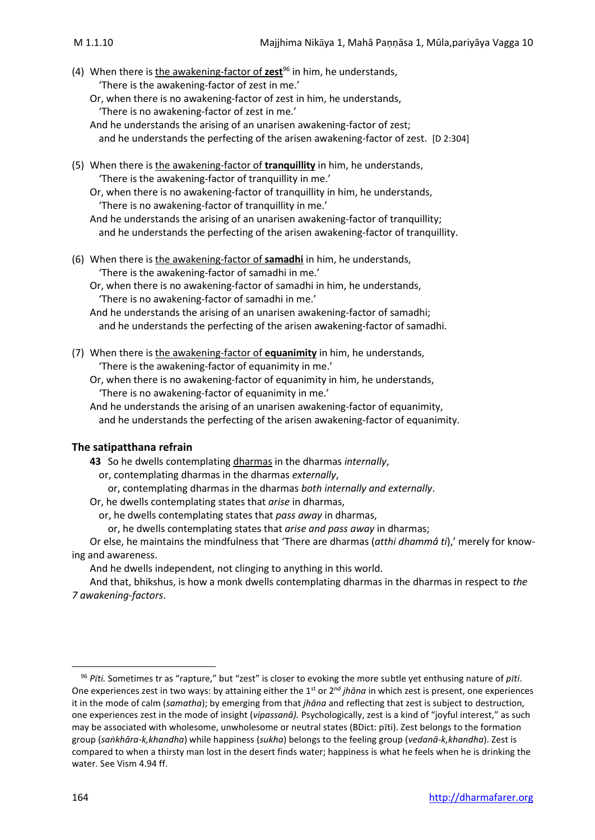- (4) When there is the awakening-factor of **zest**<sup>96</sup> in him, he understands, 'There is the awakening-factor of zest in me.'
	- Or, when there is no awakening-factor of zest in him, he understands, 'There is no awakening-factor of zest in me.'
	- And he understands the arising of an unarisen awakening-factor of zest; and he understands the perfecting of the arisen awakening-factor of zest. [D 2:304]
- (5) When there is the awakening-factor of **tranquillity** in him, he understands, 'There is the awakening-factor of tranquillity in me.'

Or, when there is no awakening-factor of tranquillity in him, he understands, 'There is no awakening-factor of tranquillity in me.'

And he understands the arising of an unarisen awakening-factor of tranquillity; and he understands the perfecting of the arisen awakening-factor of tranquillity.

(6) When there is the awakening-factor of **samadhi** in him, he understands, 'There is the awakening-factor of samadhi in me.'

Or, when there is no awakening-factor of samadhi in him, he understands, 'There is no awakening-factor of samadhi in me.'

And he understands the arising of an unarisen awakening-factor of samadhi; and he understands the perfecting of the arisen awakening-factor of samadhi.

(7) When there is the awakening-factor of **equanimity** in him, he understands, 'There is the awakening-factor of equanimity in me.'

Or, when there is no awakening-factor of equanimity in him, he understands, 'There is no awakening-factor of equanimity in me.'

And he understands the arising of an unarisen awakening-factor of equanimity, and he understands the perfecting of the arisen awakening-factor of equanimity.

#### **The satipatthana refrain**

**43** So he dwells contemplating dharmas in the dharmas *internally*,

or, contemplating dharmas in the dharmas *externally*,

or, contemplating dharmas in the dharmas *both internally and externally*.

Or, he dwells contemplating states that *arise* in dharmas,

or, he dwells contemplating states that *pass away* in dharmas,

or, he dwells contemplating states that *arise and pass away* in dharmas;

Or else, he maintains the mindfulness that 'There are dharmas (*atthi dhammâ ti*),' merely for knowing and awareness.

And he dwells independent, not clinging to anything in this world.

And that, bhikshus, is how a monk dwells contemplating dharmas in the dharmas in respect to *the 7 awakening-factors*.

<sup>96</sup> *Pti.* Sometimes tr as "rapture," but "zest" is closer to evoking the more subtle yet enthusing nature of *pti*. One experiences zest in two ways: by attaining either the 1<sup>st</sup> or 2<sup>nd</sup> *jhāna* in which zest is present, one experiences it in the mode of calm (*samatha*); by emerging from that *jhāna* and reflecting that zest is subject to destruction, one experiences zest in the mode of insight (*vipassanā).* Psychologically, zest is a kind of "joyful interest," as such may be associated with wholesome, unwholesome or neutral states (BDict: pti). Zest belongs to the formation group (*saṅkhāra-k,khandha*) while happiness (*sukha*) belongs to the feeling group (*vedanā-k,khandha*). Zest is compared to when a thirsty man lost in the desert finds water; happiness is what he feels when he is drinking the water. See Vism 4.94 ff.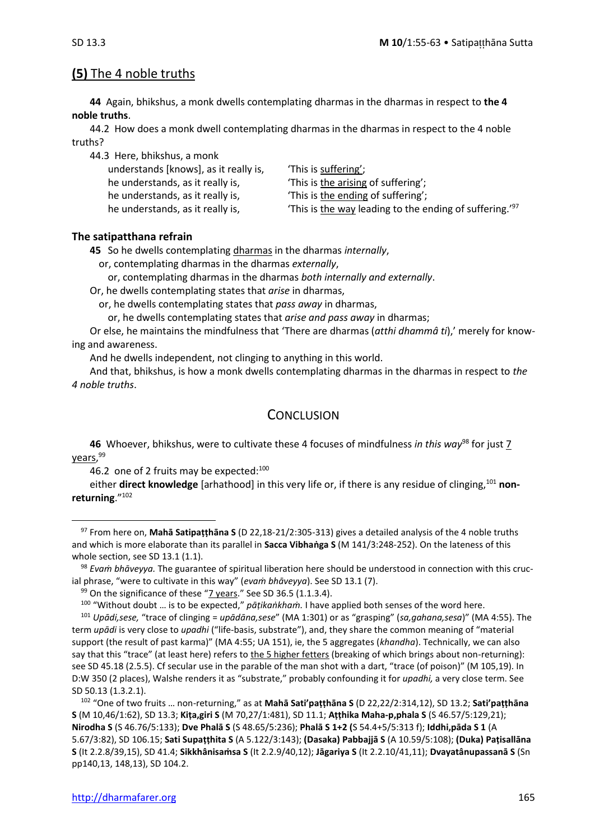# **(5)** The 4 noble truths

**44** Again, bhikshus, a monk dwells contemplating dharmas in the dharmas in respect to **the 4 noble truths**.

44.2 How does a monk dwell contemplating dharmas in the dharmas in respect to the 4 noble truths?

| 44.3 Here, bhikshus, a monk           |                                                                     |
|---------------------------------------|---------------------------------------------------------------------|
| understands [knows], as it really is, | 'This is suffering';                                                |
| he understands, as it really is,      | 'This is the arising of suffering';                                 |
| he understands, as it really is,      | 'This is the ending of suffering';                                  |
| he understands, as it really is,      | 'This is the way leading to the ending of suffering.' <sup>97</sup> |

#### **The satipatthana refrain**

**45** So he dwells contemplating dharmas in the dharmas *internally*,

or, contemplating dharmas in the dharmas *externally*,

or, contemplating dharmas in the dharmas *both internally and externally*.

Or, he dwells contemplating states that *arise* in dharmas,

or, he dwells contemplating states that *pass away* in dharmas,

or, he dwells contemplating states that *arise and pass away* in dharmas;

Or else, he maintains the mindfulness that 'There are dharmas (*atthi dhammâ ti*),' merely for knowing and awareness.

And he dwells independent, not clinging to anything in this world.

And that, bhikshus, is how a monk dwells contemplating dharmas in the dharmas in respect to *the 4 noble truths*.

# **CONCLUSION**

**46** Whoever, bhikshus, were to cultivate these 4 focuses of mindfulness *in this way*<sup>98</sup> for just 7 years, <sup>99</sup>

46.2 one of 2 fruits may be expected:<sup>100</sup>

either **direct knowledge** [arhathood] in this very life or, if there is any residue of clinging, <sup>101</sup> **nonreturning**."<sup>102</sup>

<sup>102</sup> "One of two fruits … non-returning," as at **Mahā Sati'paṭṭhāna S** (D 22,22/2:314,12), SD 13.2; **Sati'paṭṭhāna S** (M 10,46/1:62), SD 13.3; **Kiṭa,giri S** (M 70,27/1:481), SD 11.1; **Aṭṭhika Maha-p,phala S** (S 46.57/5:129,21); **Nirodha S** (S 46.76/5:133); **Dve Phalā S** (S 48.65/5:236); **Phalā S 1+2 (**S 54.4+5/5:313 f); **Iddhi,pāda S 1** (A 5.67/3:82), SD 106.15; **Sati Supaṭṭhita S** (A 5.122/3:143); **(Dasaka) Pabbajjā S** (A 10.59/5:108); **(Duka) Paṭisallāna S** (It 2.2.8/39,15), SD 41.4; **Sikkhânisaṁsa S** (It 2.2.9/40,12); **Jāgariya S** (It 2.2.10/41,11); **Dvayatânupassanā S** (Sn pp140,13, 148,13), SD 104.2.

<sup>97</sup> From here on, **Mahā Satipaṭṭhāna S** (D 22,18-21/2:305-313) gives a detailed analysis of the 4 noble truths and which is more elaborate than its parallel in **Sacca Vibhaṅga S** (M 141/3:248-252). On the lateness of this whole section, see SD 13.1 (1.1).

<sup>98</sup> *Evaṁ bhāveyya.* The guarantee of spiritual liberation here should be understood in connection with this crucial phrase, "were to cultivate in this way" (*evaṁ bhāveyya*). See SD 13.1 (7).

 $99$  On the significance of these "7 years." See SD 36.5 (1.1.3.4).

<sup>100</sup> "Without doubt … is to be expected," *pāṭikaṅkhaṁ.* I have applied both senses of the word here.

<sup>101</sup> *Upādi,sese,* "trace of clinging = *upādāna,sese*" (MA 1:301) or as "grasping" (*sa,gahana,sesa*)" (MA 4:55). The term *upādi* is very close to *upadhi* ("life-basis, substrate"), and, they share the common meaning of "material support (the result of past karma)" (MA 4:55; UA 151), ie, the 5 aggregates (*khandha*). Technically, we can also say that this "trace" (at least here) refers to the 5 higher fetters (breaking of which brings about non-returning): see SD 45.18 (2.5.5). Cf secular use in the parable of the man shot with a dart, "trace (of poison)" (M 105,19). In D:W 350 (2 places), Walshe renders it as "substrate," probably confounding it for *upadhi,* a very close term. See SD 50.13 (1.3.2.1).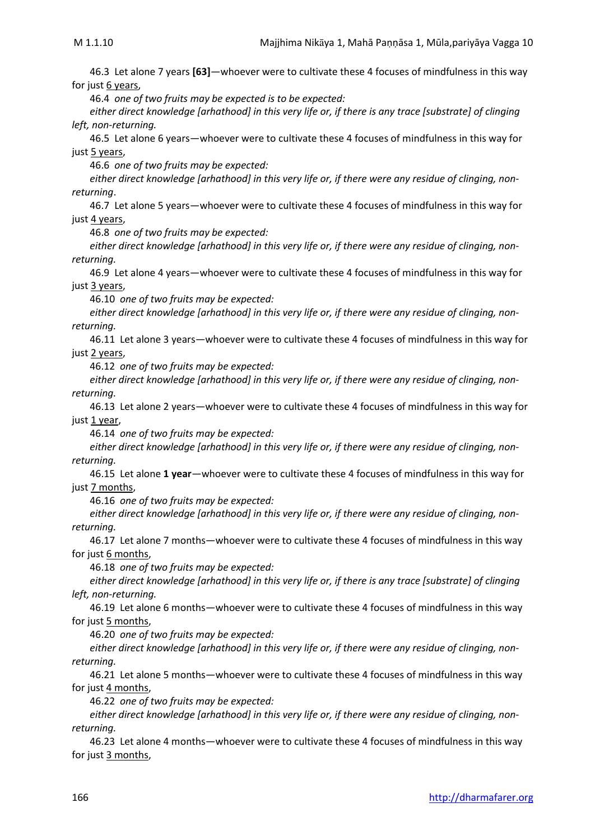46.3 Let alone 7 years **[63]**—whoever were to cultivate these 4 focuses of mindfulness in this way for just 6 years,

46.4 *one of two fruits may be expected is to be expected:* 

*either direct knowledge [arhathood] in this very life or, if there is any trace [substrate] of clinging left, non-returning.*

46.5 Let alone 6 years—whoever were to cultivate these 4 focuses of mindfulness in this way for just 5 years,

46.6 *one of two fruits may be expected:* 

*either direct knowledge [arhathood] in this very life or, if there were any residue of clinging, nonreturning*.

46.7 Let alone 5 years—whoever were to cultivate these 4 focuses of mindfulness in this way for just 4 years,

46.8 *one of two fruits may be expected:* 

*either direct knowledge [arhathood] in this very life or, if there were any residue of clinging, nonreturning.*

46.9 Let alone 4 years—whoever were to cultivate these 4 focuses of mindfulness in this way for just 3 years,

46.10 *one of two fruits may be expected:* 

*either direct knowledge [arhathood] in this very life or, if there were any residue of clinging, nonreturning.*

46.11 Let alone 3 years—whoever were to cultivate these 4 focuses of mindfulness in this way for just 2 years,

46.12 *one of two fruits may be expected:* 

*either direct knowledge [arhathood] in this very life or, if there were any residue of clinging, nonreturning.*

46.13 Let alone 2 years—whoever were to cultivate these 4 focuses of mindfulness in this way for just 1 year,

46.14 *one of two fruits may be expected:* 

*either direct knowledge [arhathood] in this very life or, if there were any residue of clinging, nonreturning.*

46.15 Let alone **1 year**—whoever were to cultivate these 4 focuses of mindfulness in this way for just 7 months,

46.16 *one of two fruits may be expected:* 

*either direct knowledge [arhathood] in this very life or, if there were any residue of clinging, nonreturning.*

46.17 Let alone 7 months—whoever were to cultivate these 4 focuses of mindfulness in this way for just 6 months,

46.18 *one of two fruits may be expected:* 

*either direct knowledge [arhathood] in this very life or, if there is any trace [substrate] of clinging left, non-returning.*

46.19 Let alone 6 months—whoever were to cultivate these 4 focuses of mindfulness in this way for just 5 months,

46.20 *one of two fruits may be expected:* 

*either direct knowledge [arhathood] in this very life or, if there were any residue of clinging, nonreturning.*

46.21 Let alone 5 months—whoever were to cultivate these 4 focuses of mindfulness in this way for just 4 months,

46.22 *one of two fruits may be expected:* 

*either direct knowledge [arhathood] in this very life or, if there were any residue of clinging, nonreturning.*

46.23 Let alone 4 months—whoever were to cultivate these 4 focuses of mindfulness in this way for just 3 months,